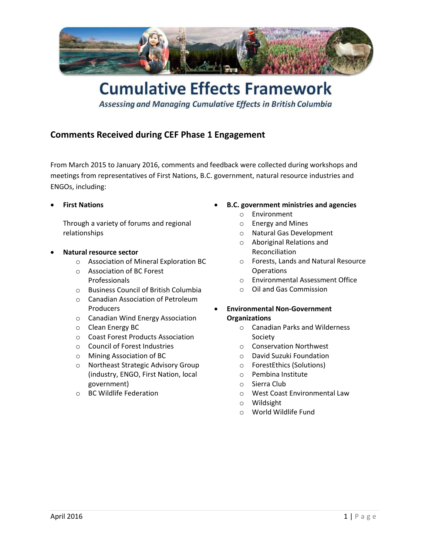

# **Cumulative Effects Framework**

Assessing and Managing Cumulative Effects in British Columbia

# **Comments Received during CEF Phase 1 Engagement**

From March 2015 to January 2016, comments and feedback were collected during workshops and meetings from representatives of First Nations, B.C. government, natural resource industries and ENGOs, including:

**First Nations**

Through a variety of forums and regional relationships

- **Natural resource sector**
	- o Association of Mineral Exploration BC
	- o Association of BC Forest Professionals
	- o Business Council of British Columbia
	- o Canadian Association of Petroleum Producers
	- o Canadian Wind Energy Association
	- o Clean Energy BC
	- o Coast Forest Products Association
	- o Council of Forest Industries
	- o Mining Association of BC
	- o Northeast Strategic Advisory Group (industry, ENGO, First Nation, local government)
	- o BC Wildlife Federation
- **B.C. government ministries and agencies** 
	- o Environment
	- o Energy and Mines
	- o Natural Gas Development
	- o Aboriginal Relations and Reconciliation
	- o Forests, Lands and Natural Resource **Operations**
	- o Environmental Assessment Office
	- o Oil and Gas Commission
- **Environmental Non-Government Organizations**
	- o Canadian Parks and Wilderness Society
	- o Conservation Northwest
	- o David Suzuki Foundation
	- o ForestEthics (Solutions)
	- o Pembina Institute
	- o Sierra Club
	- o West Coast Environmental Law
	- o Wildsight
	- o World Wildlife Fund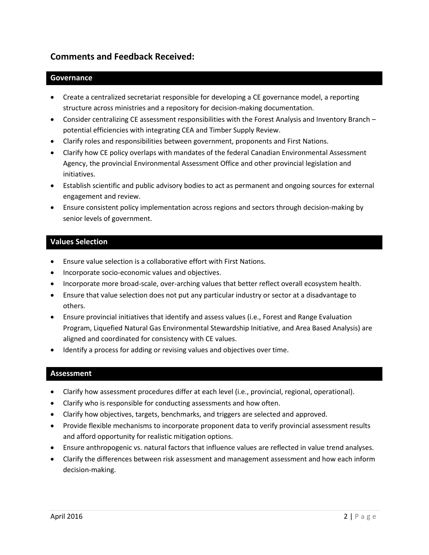# **Comments and Feedback Received:**

#### **Governance**

- Create a centralized secretariat responsible for developing a CE governance model, a reporting structure across ministries and a repository for decision-making documentation.
- Consider centralizing CE assessment responsibilities with the Forest Analysis and Inventory Branch potential efficiencies with integrating CEA and Timber Supply Review.
- Clarify roles and responsibilities between government, proponents and First Nations.
- Clarify how CE policy overlaps with mandates of the federal Canadian Environmental Assessment Agency, the provincial Environmental Assessment Office and other provincial legislation and initiatives.
- Establish scientific and public advisory bodies to act as permanent and ongoing sources for external engagement and review.
- Ensure consistent policy implementation across regions and sectors through decision-making by senior levels of government.

# **Values Selection**

- Ensure value selection is a collaborative effort with First Nations.
- Incorporate socio-economic values and objectives.
- Incorporate more broad-scale, over-arching values that better reflect overall ecosystem health.
- Ensure that value selection does not put any particular industry or sector at a disadvantage to others.
- Ensure provincial initiatives that identify and assess values (i.e., Forest and Range Evaluation Program, Liquefied Natural Gas Environmental Stewardship Initiative, and Area Based Analysis) are aligned and coordinated for consistency with CE values.
- Identify a process for adding or revising values and objectives over time.

#### **Assessment**

- Clarify how assessment procedures differ at each level (i.e., provincial, regional, operational).
- Clarify who is responsible for conducting assessments and how often.
- Clarify how objectives, targets, benchmarks, and triggers are selected and approved.
- Provide flexible mechanisms to incorporate proponent data to verify provincial assessment results and afford opportunity for realistic mitigation options.
- Ensure anthropogenic vs. natural factors that influence values are reflected in value trend analyses.
- Clarify the differences between risk assessment and management assessment and how each inform decision-making.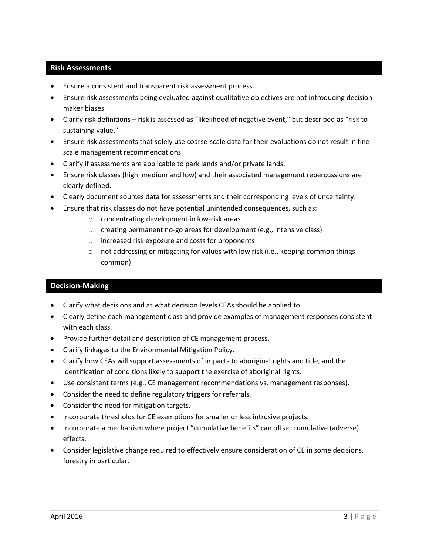## **Risk Assessments**

- Ensure a consistent and transparent risk assessment process.
- Ensure risk assessments being evaluated against qualitative objectives are not introducing decisionmaker biases.
- Clarify risk definitions risk is assessed as "likelihood of negative event," but described as "risk to sustaining value."
- Ensure risk assessments that solely use coarse-scale data for their evaluations do not result in finescale management recommendations.
- Clarify if assessments are applicable to park lands and/or private lands.
- Ensure risk classes (high, medium and low) and their associated management repercussions are clearly defined.
- Clearly document sources data for assessments and their corresponding levels of uncertainty.
- Ensure that risk classes do not have potential unintended consequences, such as:
	- o concentrating development in low-risk areas
	- o creating permanent no-go areas for development (e.g., intensive class)
	- o increased risk exposure and costs for proponents
	- $\circ$  not addressing or mitigating for values with low risk (i.e., keeping common things common)

## **Decision-Making**

- Clarify what decisions and at what decision levels CEAs should be applied to.
- Clearly define each management class and provide examples of management responses consistent with each class.
- Provide further detail and description of CE management process.
- Clarify linkages to the Environmental Mitigation Policy.
- Clarify how CEAs will support assessments of impacts to aboriginal rights and title, and the identification of conditions likely to support the exercise of aboriginal rights.
- Use consistent terms (e.g., CE management recommendations vs. management responses).
- Consider the need to define regulatory triggers for referrals.
- Consider the need for mitigation targets.
- Incorporate thresholds for CE exemptions for smaller or less intrusive projects.
- Incorporate a mechanism where project "cumulative benefits" can offset cumulative (adverse) effects.
- Consider legislative change required to effectively ensure consideration of CE in some decisions, forestry in particular.